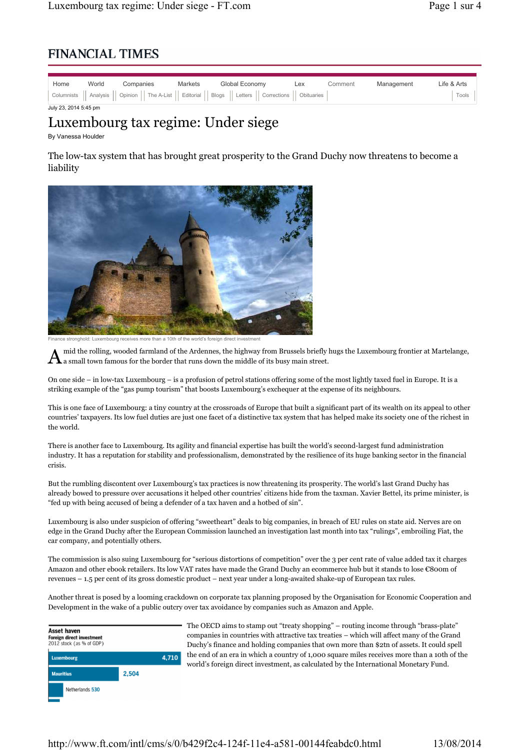## **FINANCIAL TIMES**

| Home                  | World | Companies | Markets | Global Economy                                                                                                | Lex | Comment | Management | Life & Arts |
|-----------------------|-------|-----------|---------|---------------------------------------------------------------------------------------------------------------|-----|---------|------------|-------------|
|                       |       |           |         | Columnists    Analysis    Opinion    The A-List    Editorial    Blogs    Letters    Corrections    Obituaries |     |         |            | Tools       |
| July 23, 2014 5:45 nm |       |           |         |                                                                                                               |     |         |            |             |

## Luxembourg tax regime: Under siege

By Vanessa Houlder

The low-tax system that has brought great prosperity to the Grand Duchy now threatens to become a liability



finance in a 10th of the world's foreign

 $A$  mid the rolling, wooded farmland of the Ardennes, the highway from Brussels briefly a small town famous for the border that runs down the middle of its busy main street. mid the rolling, wooded farmland of the Ardennes, the highway from Brussels briefly hugs the Luxembourg frontier at Martelange,

On one side – in low-tax Luxembourg – is a profusion of petrol stations offering some of the most lightly taxed fuel in Europe. It is a striking example of the "gas pump tourism" that boosts Luxembourg's exchequer at the expense of its neighbours.

This is one face of Luxembourg: a tiny country at the crossroads of Europe that built a significant part of its wealth on its appeal to other countries' taxpayers. Its low fuel duties are just one facet of a distinctive tax system that has helped make its society one of the richest in the world.

There is another face to Luxembourg. Its agility and financial expertise has built the world's second-largest fund administration industry. It has a reputation for stability and professionalism, demonstrated by the resilience of its huge banking sector in the financial crisis.

But the rumbling discontent over Luxembourg's tax practices is now threatening its prosperity. The world's last Grand Duchy has already bowed to pressure over accusations it helped other countries' citizens hide from the taxman. Xavier Bettel, its prime minister, is "fed up with being accused of being a defender of a tax haven and a hotbed of sin".

Luxembourg is also under suspicion of offering "sweetheart" deals to big companies, in breach of EU rules on state aid. Nerves are on edge in the Grand Duchy after the European Commission launched an investigation last month into tax "rulings", embroiling Fiat, the car company, and potentially others.

The commission is also suing Luxembourg for "serious distortions of competition" over the 3 per cent rate of value added tax it charges Amazon and other ebook retailers. Its low VAT rates have made the Grand Duchy an ecommerce hub but it stands to lose €800m of revenues – 1.5 per cent of its gross domestic product – next year under a long-awaited shake-up of European tax rules.

Another threat is posed by a looming crackdown on corporate tax planning proposed by the Organisation for Economic Cooperation and Development in the wake of a public outcry over tax avoidance by companies such as Amazon and Apple.



The OECD aims to stamp out "treaty shopping" – routing income through "brass-plate" companies in countries with attractive tax treaties – which will affect many of the Grand Duchy's finance and holding companies that own more than \$2tn of assets. It could spell the end of an era in which a country of 1,000 square miles receives more than a 10th of the world's foreign direct investment, as calculated by the International Monetary Fund.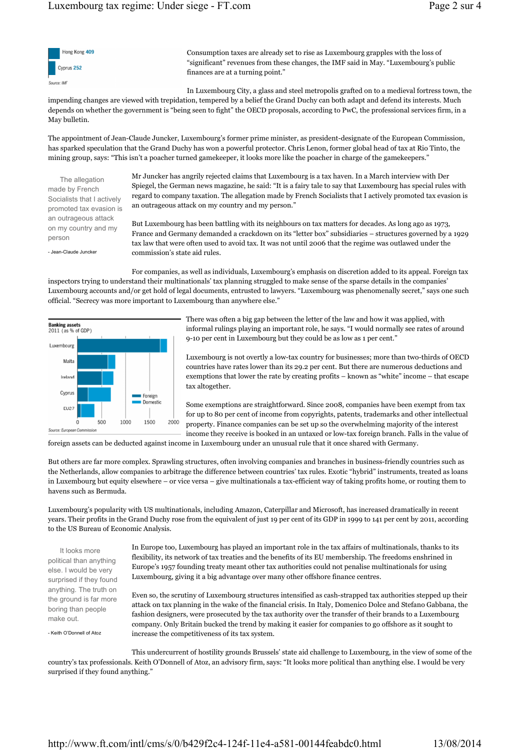

Consumption taxes are already set to rise as Luxembourg grapples with the loss of "significant" revenues from these changes, the IMF said in May. "Luxembourg's public finances are at a turning point."

In Luxembourg City, a glass and steel metropolis grafted on to a medieval fortress town, the impending changes are viewed with trepidation, tempered by a belief the Grand Duchy can both adapt and defend its interests. Much depends on whether the government is "being seen to fight" the OECD proposals, according to PwC, the professional services firm, in a May bulletin.

The appointment of Jean-Claude Juncker, Luxembourg's former prime minister, as president-designate of the European Commission, has sparked speculation that the Grand Duchy has won a powerful protector. Chris Lenon, former global head of tax at Rio Tinto, the mining group, says: "This isn't a poacher turned gamekeeper, it looks more like the poacher in charge of the gamekeepers."

The allegation made by French Socialists that I actively promoted tax evasion is an outrageous attack on my country and my person

- Jean-Claude Juncker

Mr Juncker has angrily rejected claims that Luxembourg is a tax haven. In a March interview with Der Spiegel, the German news magazine, he said: "It is a fairy tale to say that Luxembourg has special rules with regard to company taxation. The allegation made by French Socialists that I actively promoted tax evasion is an outrageous attack on my country and my person."

But Luxembourg has been battling with its neighbours on tax matters for decades. As long ago as 1973, France and Germany demanded a crackdown on its "letter box" subsidiaries – structures governed by a 1929 tax law that were often used to avoid tax. It was not until 2006 that the regime was outlawed under the commission's state aid rules.

For companies, as well as individuals, Luxembourg's emphasis on discretion added to its appeal. Foreign tax inspectors trying to understand their multinationals' tax planning struggled to make sense of the sparse details in the companies' Luxembourg accounts and/or get hold of legal documents, entrusted to lawyers. "Luxembourg was phenomenally secret," says one such official. "Secrecy was more important to Luxembourg than anywhere else."



There was often a big gap between the letter of the law and how it was applied, with informal rulings playing an important role, he says. "I would normally see rates of around 9-10 per cent in Luxembourg but they could be as low as 1 per cent."

Luxembourg is not overtly a low-tax country for businesses; more than two-thirds of OECD countries have rates lower than its 29.2 per cent. But there are numerous deductions and exemptions that lower the rate by creating profits – known as "white" income – that escape tax altogether.

Some exemptions are straightforward. Since 2008, companies have been exempt from tax for up to 80 per cent of income from copyrights, patents, trademarks and other intellectual property. Finance companies can be set up so the overwhelming majority of the interest income they receive is booked in an untaxed or low-tax foreign branch. Falls in the value of

foreign assets can be deducted against income in Luxembourg under an unusual rule that it once shared with Germany.

But others are far more complex. Sprawling structures, often involving companies and branches in business-friendly countries such as the Netherlands, allow companies to arbitrage the difference between countries' tax rules. Exotic "hybrid" instruments, treated as loans in Luxembourg but equity elsewhere – or vice versa – give multinationals a tax-efficient way of taking profits home, or routing them to havens such as Bermuda.

Luxembourg's popularity with US multinationals, including Amazon, Caterpillar and Microsoft, has increased dramatically in recent years. Their profits in the Grand Duchy rose from the equivalent of just 19 per cent of its GDP in 1999 to 141 per cent by 2011, according to the US Bureau of Economic Analysis.

It looks more political than anything else. I would be very surprised if they found anything. The truth on the ground is far more boring than people make out.

- Keith O'Donnell of Atoz

In Europe too, Luxembourg has played an important role in the tax affairs of multinationals, thanks to its flexibility, its network of tax treaties and the benefits of its EU membership. The freedoms enshrined in Europe's 1957 founding treaty meant other tax authorities could not penalise multinationals for using Luxembourg, giving it a big advantage over many other offshore finance centres.

Even so, the scrutiny of Luxembourg structures intensified as cash-strapped tax authorities stepped up their attack on tax planning in the wake of the financial crisis. In Italy, Domenico Dolce and Stefano Gabbana, the fashion designers, were prosecuted by the tax authority over the transfer of their brands to a Luxembourg company. Only Britain bucked the trend by making it easier for companies to go offshore as it sought to increase the competitiveness of its tax system.

This undercurrent of hostility grounds Brussels' state aid challenge to Luxembourg, in the view of some of the country's tax professionals. Keith O'Donnell of Atoz, an advisory firm, says: "It looks more political than anything else. I would be very surprised if they found anything."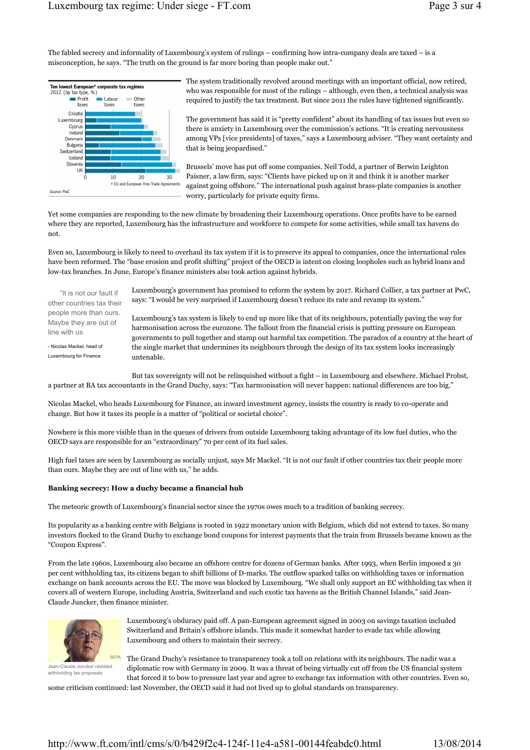The fabled secrecy and informality of Luxembourg's system of rulings – confirming how intra-company deals are taxed – is a misconception, he says. "The truth on the ground is far more boring than people make out."



The system traditionally revolved around meetings with an important official, now retired, who was responsible for most of the rulings – although, even then, a technical analysis was required to justify the tax treatment. But since 2011 the rules have tightened significantly.

The government has said it is "pretty confident" about its handling of tax issues but even so there is anxiety in Luxembourg over the commission's actions. "It is creating nervousness among VPs [vice presidents] of taxes," says a Luxembourg adviser. "They want certainty and that is being jeopardised."

Brussels' move has put off some companies. Neil Todd, a partner of Berwin Leighton Paisner, a law firm, says: "Clients have picked up on it and think it is another marker against going offshore." The international push against brass-plate companies is another worry, particularly for private equity firms.

Yet some companies are responding to the new climate by broadening their Luxembourg operations. Once profits have to be earned where they are reported, Luxembourg has the infrastructure and workforce to compete for some activities, while small tax havens do not.

Even so, Luxembourg is likely to need to overhaul its tax system if it is to preserve its appeal to companies, once the international rules have been reformed. The "base erosion and profit shifting" project of the OECD is intent on closing loopholes such as hybrid loans and low-tax branches. In June, Europe's finance ministers also took action against hybrids.

"It is not our fault if other countries tax their people more than ours. Maybe they are out of line with us

- Nicolas Mackel, head of Luxembourg for Finance

Luxembourg's government has promised to reform the system by 2017. Richard Collier, a tax partner at PwC, says: "I would be very surprised if Luxembourg doesn't reduce its rate and revamp its system."

Luxembourg's tax system is likely to end up more like that of its neighbours, potentially paving the way for harmonisation across the eurozone. The fallout from the financial crisis is putting pressure on European governments to pull together and stamp out harmful tax competition. The paradox of a country at the heart of the single market that undermines its neighbours through the design of its tax system looks increasingly untenable.

But tax sovereignty will not be relinquished without a fight – in Luxembourg and elsewhere. Michael Probst, a partner at BA tax accountants in the Grand Duchy, says: "Tax harmonisation will never happen: national differences are too big."

Nicolas Mackel, who heads Luxembourg for Finance, an inward investment agency, insists the country is ready to co-operate and change. But how it taxes its people is a matter of "political or societal choice".

Nowhere is this more visible than in the queues of drivers from outside Luxembourg taking advantage of its low fuel duties, who the OECD says are responsible for an "extraordinary" 70 per cent of its fuel sales.

High fuel taxes are seen by Luxembourg as socially unjust, says Mr Mackel. "It is not our fault if other countries tax their people more than ours. Maybe they are out of line with us," he adds.

## **Banking secrecy: How a duchy became a financial hub**

The meteoric growth of Luxembourg's financial sector since the 1970s owes much to a tradition of banking secrecy.

Its popularity as a banking centre with Belgians is rooted in 1922 monetary union with Belgium, which did not extend to taxes. So many investors flocked to the Grand Duchy to exchange bond coupons for interest payments that the train from Brussels became known as the "Coupon Express".

From the late 1960s, Luxembourg also became an offshore centre for dozens of German banks. After 1993, when Berlin imposed a 30 per cent withholding tax, its citizens began to shift billions of D-marks. The outflow sparked talks on withholding taxes or information exchange on bank accounts across the EU. The move was blocked by Luxembourg. "We shall only support an EC withholding tax when it covers all of western Europe, including Austria, Switzerland and such exotic tax havens as the British Channel Islands," said Jean-Claude Juncker, then finance minister.



Jean-Claude Juncker resisted withholding tax proposals

Luxembourg's obduracy paid off. A pan-European agreement signed in 2003 on savings taxation included Switzerland and Britain's offshore islands. This made it somewhat harder to evade tax while allowing Luxembourg and others to maintain their secrecy.

The Grand Duchy's resistance to transparency took a toll on relations with its neighbours. The nadir was a diplomatic row with Germany in 2009. It was a threat of being virtually cut off from the US financial system that forced it to bow to pressure last year and agree to exchange tax information with other countries. Even so,

some criticism continued: last November, the OECD said it had not lived up to global standards on transparency.